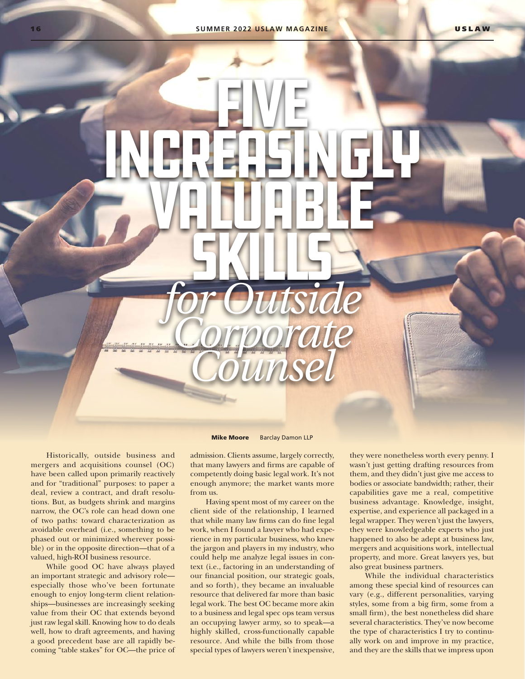EWE

Increasingly

VALUABLE

SKILLS

*for Outside*

*Corporate*

*Counsel*

mergers and acquisitions counsel (OC) have been called upon primarily reactively and for "traditional" purposes: to paper a deal, review a contract, and draft resolutions. But, as budgets shrink and margins narrow, the OC's role can head down one of two paths: toward characterization as avoidable overhead (i.e., something to be phased out or minimized wherever possi-

Historically, outside business and

valued, high-ROI business resource. While good OC have always played an important strategic and advisory role especially those who've been fortunate enough to enjoy long-term client relationships—businesses are increasingly seeking value from their OC that extends beyond just raw legal skill. Knowing how to do deals well, how to draft agreements, and having a good precedent base are all rapidly becoming "table stakes" for OC—the price of

ble) or in the opposite direction—that of a

Mike Moore Barclay Damon LLP

admission. Clients assume, largely correctly, that many lawyers and firms are capable of competently doing basic legal work. It's not enough anymore; the market wants more from us.

Having spent most of my career on the client side of the relationship, I learned that while many law firms can do fine legal work, when I found a lawyer who had experience in my particular business, who knew the jargon and players in my industry, who could help me analyze legal issues in context (i.e., factoring in an understanding of our financial position, our strategic goals, and so forth), they became an invaluable resource that delivered far more than basic legal work. The best OC became more akin to a business and legal spec ops team versus an occupying lawyer army, so to speak—a highly skilled, cross-functionally capable resource. And while the bills from those special types of lawyers weren't inexpensive, they were nonetheless worth every penny. I wasn't just getting drafting resources from them, and they didn't just give me access to bodies or associate bandwidth; rather, their capabilities gave me a real, competitive business advantage. Knowledge, insight, expertise, and experience all packaged in a legal wrapper. They weren't just the lawyers, they were knowledgeable experts who just happened to also be adept at business law, mergers and acquisitions work, intellectual property, and more. Great lawyers yes, but also great business partners.

While the individual characteristics among these special kind of resources can vary (e.g., different personalities, varying styles, some from a big firm, some from a small firm), the best nonetheless did share several characteristics. They've now become the type of characteristics I try to continually work on and improve in my practice, and they are the skills that we impress upon